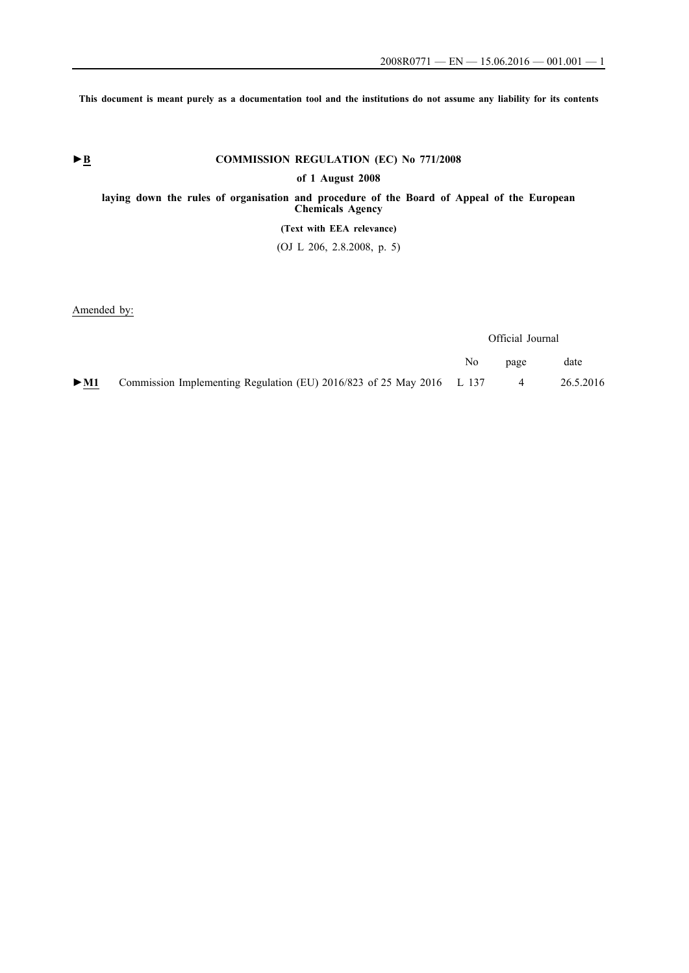**This document is meant purely as a documentation tool and the institutions do not assume any liability for its contents**

# ► **B** COMMISSION REGULATION (EC) No 771/2008 **of 1 August 2008 laying down the rules of organisation and procedure of the Board of Appeal of the European Chemicals Agency (Text with EEA relevance)** (OJ L 206, 2.8.2008, p. 5)

Amended by:

|        |                                                                       | Official Journal |                |           |
|--------|-----------------------------------------------------------------------|------------------|----------------|-----------|
|        |                                                                       | No.              | page           | date      |
| $>$ M1 | Commission Implementing Regulation (EU) 2016/823 of 25 May 2016 L 137 |                  | $\overline{4}$ | 26.5.2016 |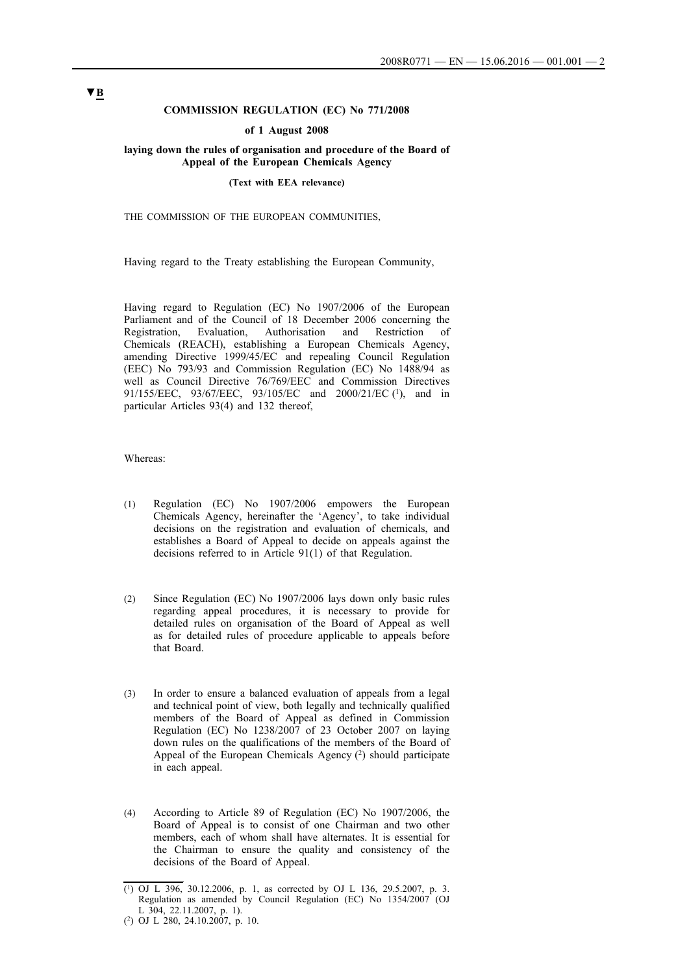# **COMMISSION REGULATION (EC) No 771/2008**

#### **of 1 August 2008**

### **laying down the rules of organisation and procedure of the Board of Appeal of the European Chemicals Agency**

#### **(Text with EEA relevance)**

#### THE COMMISSION OF THE EUROPEAN COMMUNITIES,

Having regard to the Treaty establishing the European Community,

Having regard to Regulation (EC) No 1907/2006 of the European Parliament and of the Council of 18 December 2006 concerning the Registration, Evaluation, Authorisation and Restriction of Chemicals (REACH), establishing a European Chemicals Agency, amending Directive 1999/45/EC and repealing Council Regulation (EEC) No 793/93 and Commission Regulation (EC) No 1488/94 as well as Council Directive 76/769/EEC and Commission Directives 91/155/EEC, 93/67/EEC, 93/105/EC and 2000/21/EC (1), and in particular Articles 93(4) and 132 thereof,

Whereas:

- (1) Regulation (EC) No 1907/2006 empowers the European Chemicals Agency, hereinafter the 'Agency', to take individual decisions on the registration and evaluation of chemicals, and establishes a Board of Appeal to decide on appeals against the decisions referred to in Article 91(1) of that Regulation.
- (2) Since Regulation (EC) No 1907/2006 lays down only basic rules regarding appeal procedures, it is necessary to provide for detailed rules on organisation of the Board of Appeal as well as for detailed rules of procedure applicable to appeals before that Board.
- (3) In order to ensure a balanced evaluation of appeals from a legal and technical point of view, both legally and technically qualified members of the Board of Appeal as defined in Commission Regulation (EC) No 1238/2007 of 23 October 2007 on laying down rules on the qualifications of the members of the Board of Appeal of the European Chemicals Agency (2) should participate in each appeal.
- (4) According to Article 89 of Regulation (EC) No 1907/2006, the Board of Appeal is to consist of one Chairman and two other members, each of whom shall have alternates. It is essential for the Chairman to ensure the quality and consistency of the decisions of the Board of Appeal.

<sup>(1)</sup> OJ L 396, 30.12.2006, p. 1, as corrected by OJ L 136, 29.5.2007, p. 3. Regulation as amended by Council Regulation (EC) No 1354/2007 (OJ L 304, 22.11.2007, p. 1).

<sup>(2)</sup> OJ L 280, 24.10.2007, p. 10.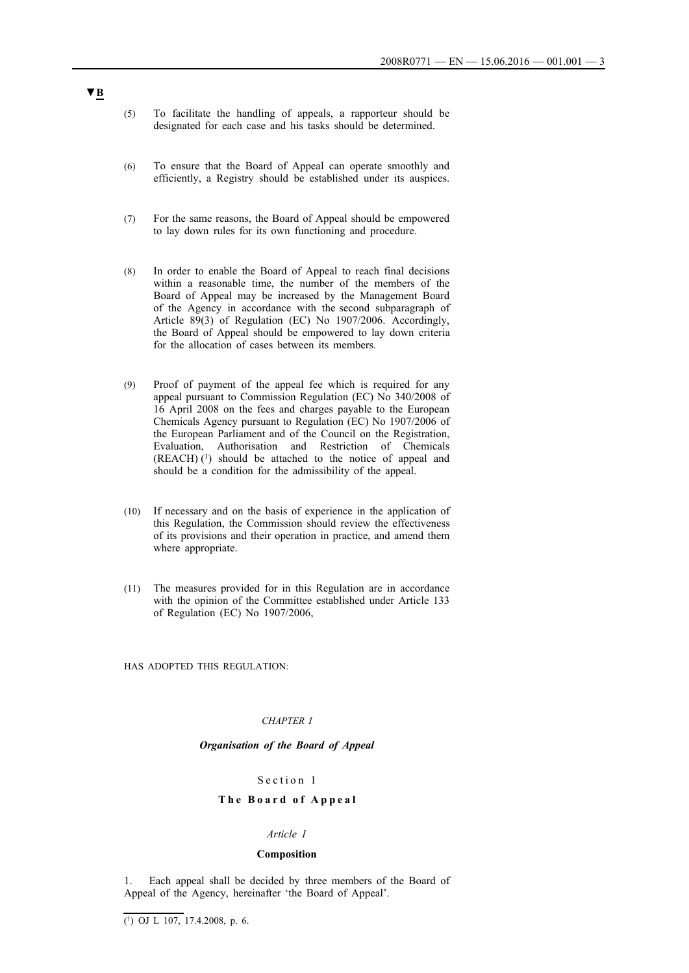- (5) To facilitate the handling of appeals, a rapporteur should be designated for each case and his tasks should be determined.
- (6) To ensure that the Board of Appeal can operate smoothly and efficiently, a Registry should be established under its auspices.
- (7) For the same reasons, the Board of Appeal should be empowered to lay down rules for its own functioning and procedure.
- (8) In order to enable the Board of Appeal to reach final decisions within a reasonable time, the number of the members of the Board of Appeal may be increased by the Management Board of the Agency in accordance with the second subparagraph of Article 89(3) of Regulation (EC) No 1907/2006. Accordingly, the Board of Appeal should be empowered to lay down criteria for the allocation of cases between its members.
- (9) Proof of payment of the appeal fee which is required for any appeal pursuant to Commission Regulation (EC) No 340/2008 of 16 April 2008 on the fees and charges payable to the European Chemicals Agency pursuant to Regulation (EC) No 1907/2006 of the European Parliament and of the Council on the Registration, Evaluation, Authorisation and Restriction of Chemicals  $(REACH)$ <sup>(1)</sup> should be attached to the notice of appeal and should be a condition for the admissibility of the appeal.
- (10) If necessary and on the basis of experience in the application of this Regulation, the Commission should review the effectiveness of its provisions and their operation in practice, and amend them where appropriate.
- (11) The measures provided for in this Regulation are in accordance with the opinion of the Committee established under Article 133 of Regulation (EC) No 1907/2006,

HAS ADOPTED THIS REGULATION:

#### *CHAPTER I*

## *Organisation of the Board of Appeal*

## Section 1

## **T h e B o a r d o f A p p e a l**

# *Article 1*

## **Composition**

1. Each appeal shall be decided by three members of the Board of Appeal of the Agency, hereinafter 'the Board of Appeal'.

 $\overline{(^1)}$  OJ L 107, 17.4.2008, p. 6.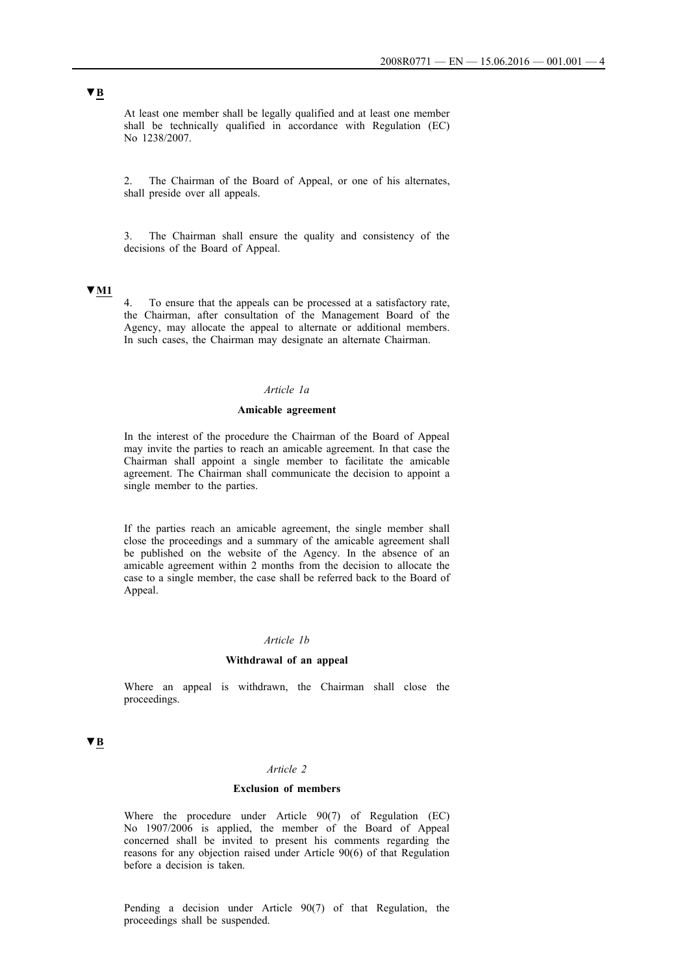At least one member shall be legally qualified and at least one member shall be technically qualified in accordance with Regulation (EC) No 1238/2007.

2. The Chairman of the Board of Appeal, or one of his alternates, shall preside over all appeals.

3. The Chairman shall ensure the quality and consistency of the decisions of the Board of Appeal.

# **▼M1**

4. To ensure that the appeals can be processed at a satisfactory rate, the Chairman, after consultation of the Management Board of the Agency, may allocate the appeal to alternate or additional members. In such cases, the Chairman may designate an alternate Chairman.

# *Article 1a*

## **Amicable agreement**

In the interest of the procedure the Chairman of the Board of Appeal may invite the parties to reach an amicable agreement. In that case the Chairman shall appoint a single member to facilitate the amicable agreement. The Chairman shall communicate the decision to appoint a single member to the parties.

If the parties reach an amicable agreement, the single member shall close the proceedings and a summary of the amicable agreement shall be published on the website of the Agency. In the absence of an amicable agreement within 2 months from the decision to allocate the case to a single member, the case shall be referred back to the Board of Appeal.

# *Article 1b*

#### **Withdrawal of an appeal**

Where an appeal is withdrawn, the Chairman shall close the proceedings.

# **▼B**

# *Article 2*

# **Exclusion of members**

Where the procedure under Article 90(7) of Regulation (EC) No 1907/2006 is applied, the member of the Board of Appeal concerned shall be invited to present his comments regarding the reasons for any objection raised under Article 90(6) of that Regulation before a decision is taken.

Pending a decision under Article 90(7) of that Regulation, the proceedings shall be suspended.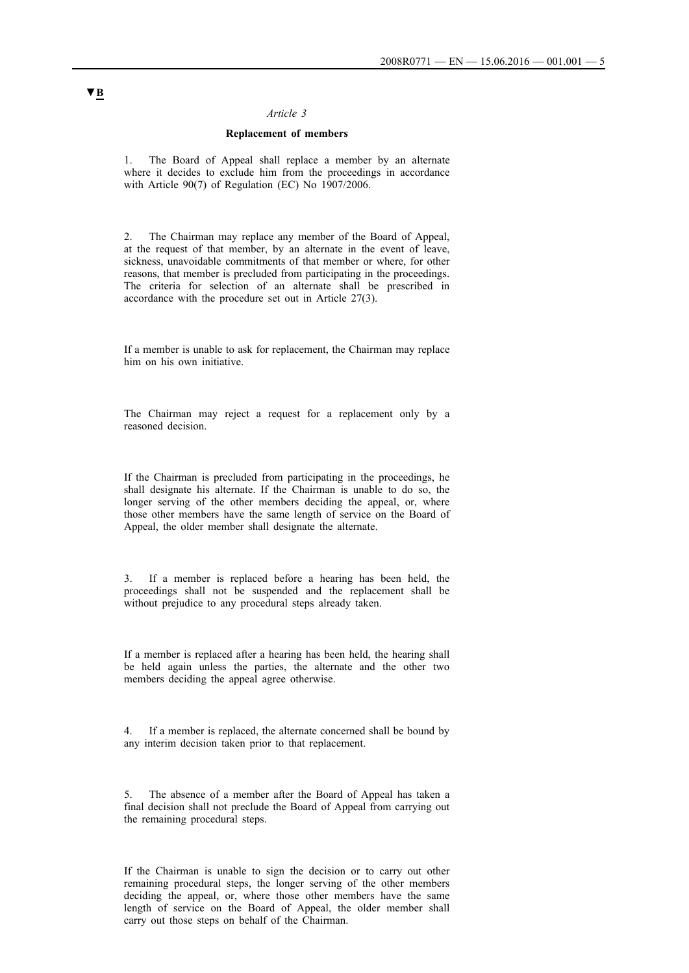## **Replacement of members**

1. The Board of Appeal shall replace a member by an alternate where it decides to exclude him from the proceedings in accordance with Article 90(7) of Regulation (EC) No 1907/2006.

2. The Chairman may replace any member of the Board of Appeal, at the request of that member, by an alternate in the event of leave, sickness, unavoidable commitments of that member or where, for other reasons, that member is precluded from participating in the proceedings. The criteria for selection of an alternate shall be prescribed in accordance with the procedure set out in Article 27(3).

If a member is unable to ask for replacement, the Chairman may replace him on his own initiative.

The Chairman may reject a request for a replacement only by a reasoned decision.

If the Chairman is precluded from participating in the proceedings, he shall designate his alternate. If the Chairman is unable to do so, the longer serving of the other members deciding the appeal, or, where those other members have the same length of service on the Board of Appeal, the older member shall designate the alternate.

3. If a member is replaced before a hearing has been held, the proceedings shall not be suspended and the replacement shall be without prejudice to any procedural steps already taken.

If a member is replaced after a hearing has been held, the hearing shall be held again unless the parties, the alternate and the other two members deciding the appeal agree otherwise.

4. If a member is replaced, the alternate concerned shall be bound by any interim decision taken prior to that replacement.

5. The absence of a member after the Board of Appeal has taken a final decision shall not preclude the Board of Appeal from carrying out the remaining procedural steps.

If the Chairman is unable to sign the decision or to carry out other remaining procedural steps, the longer serving of the other members deciding the appeal, or, where those other members have the same length of service on the Board of Appeal, the older member shall carry out those steps on behalf of the Chairman.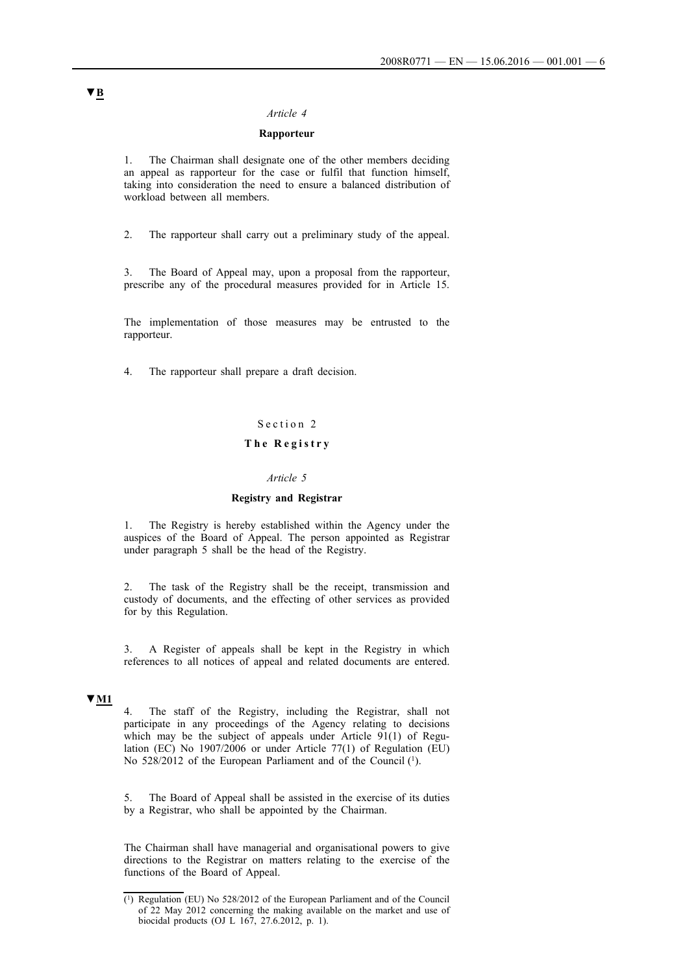# **Rapporteur**

1. The Chairman shall designate one of the other members deciding an appeal as rapporteur for the case or fulfil that function himself, taking into consideration the need to ensure a balanced distribution of workload between all members.

2. The rapporteur shall carry out a preliminary study of the appeal.

3. The Board of Appeal may, upon a proposal from the rapporteur, prescribe any of the procedural measures provided for in Article 15.

The implementation of those measures may be entrusted to the rapporteur.

4. The rapporteur shall prepare a draft decision.

# Section 2

# **T h e R e g i s t r y**

# *Article 5*

### **Registry and Registrar**

1. The Registry is hereby established within the Agency under the auspices of the Board of Appeal. The person appointed as Registrar under paragraph 5 shall be the head of the Registry.

2. The task of the Registry shall be the receipt, transmission and custody of documents, and the effecting of other services as provided for by this Regulation.

3. A Register of appeals shall be kept in the Registry in which references to all notices of appeal and related documents are entered.

### **▼M1**

4. The staff of the Registry, including the Registrar, shall not participate in any proceedings of the Agency relating to decisions which may be the subject of appeals under Article 91(1) of Regulation (EC) No 1907/2006 or under Article 77(1) of Regulation (EU) No 528/2012 of the European Parliament and of the Council (1).

5. The Board of Appeal shall be assisted in the exercise of its duties by a Registrar, who shall be appointed by the Chairman.

The Chairman shall have managerial and organisational powers to give directions to the Registrar on matters relating to the exercise of the functions of the Board of Appeal.

<sup>(1)</sup> Regulation (EU) No 528/2012 of the European Parliament and of the Council of 22 May 2012 concerning the making available on the market and use of biocidal products (OJ L 167, 27.6.2012, p. 1).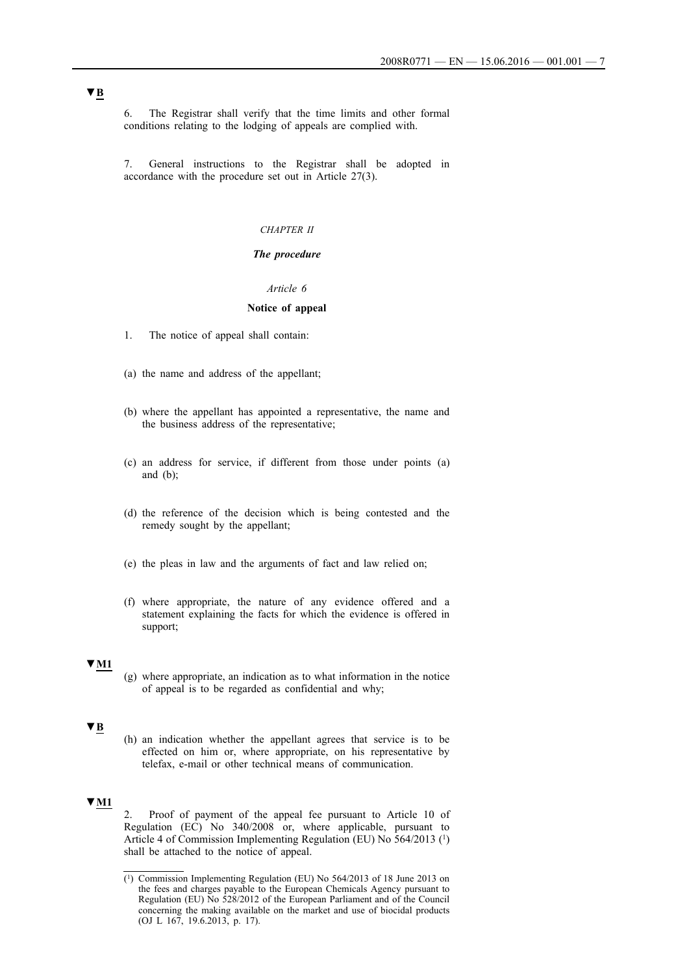6. The Registrar shall verify that the time limits and other formal conditions relating to the lodging of appeals are complied with.

7. General instructions to the Registrar shall be adopted in accordance with the procedure set out in Article 27(3).

#### *CHAPTER II*

# *The procedure*

#### *Article 6*

## **Notice of appeal**

- 1. The notice of appeal shall contain:
- (a) the name and address of the appellant;
- (b) where the appellant has appointed a representative, the name and the business address of the representative;
- (c) an address for service, if different from those under points (a) and  $(b)$ ;
- (d) the reference of the decision which is being contested and the remedy sought by the appellant;
- (e) the pleas in law and the arguments of fact and law relied on;
- (f) where appropriate, the nature of any evidence offered and a statement explaining the facts for which the evidence is offered in support;

#### **▼M1**

(g) where appropriate, an indication as to what information in the notice of appeal is to be regarded as confidential and why;

# **▼B**

(h) an indication whether the appellant agrees that service is to be effected on him or, where appropriate, on his representative by telefax, e-mail or other technical means of communication.

# **▼M1**

2. Proof of payment of the appeal fee pursuant to Article 10 of Regulation (EC) No 340/2008 or, where applicable, pursuant to Article 4 of Commission Implementing Regulation (EU) No 564/2013 (1) shall be attached to the notice of appeal.

<sup>(1)</sup> Commission Implementing Regulation (EU) No 564/2013 of 18 June 2013 on the fees and charges payable to the European Chemicals Agency pursuant to Regulation (EU) No 528/2012 of the European Parliament and of the Council concerning the making available on the market and use of biocidal products (OJ L 167, 19.6.2013, p. 17).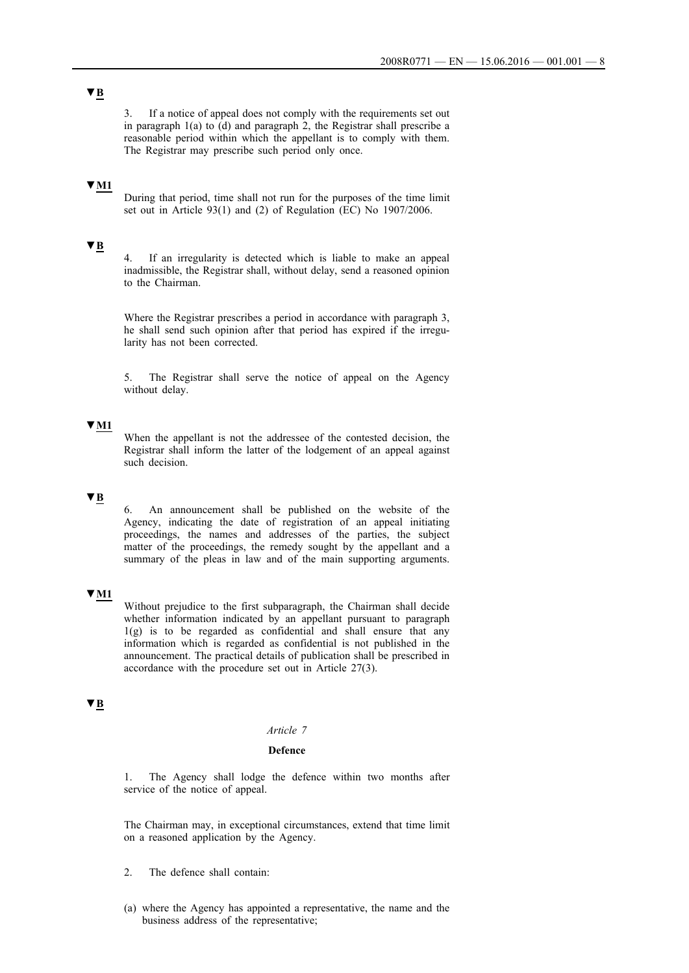3. If a notice of appeal does not comply with the requirements set out in paragraph 1(a) to (d) and paragraph 2, the Registrar shall prescribe a reasonable period within which the appellant is to comply with them. The Registrar may prescribe such period only once.

# **▼M1**

During that period, time shall not run for the purposes of the time limit set out in Article 93(1) and (2) of Regulation (EC) No 1907/2006.

# **▼B**

4. If an irregularity is detected which is liable to make an appeal inadmissible, the Registrar shall, without delay, send a reasoned opinion to the Chairman.

Where the Registrar prescribes a period in accordance with paragraph 3, he shall send such opinion after that period has expired if the irregularity has not been corrected.

5. The Registrar shall serve the notice of appeal on the Agency without delay.

# **▼M1**

When the appellant is not the addressee of the contested decision, the Registrar shall inform the latter of the lodgement of an appeal against such decision.

### **▼B**

6. An announcement shall be published on the website of the Agency, indicating the date of registration of an appeal initiating proceedings, the names and addresses of the parties, the subject matter of the proceedings, the remedy sought by the appellant and a summary of the pleas in law and of the main supporting arguments.

# **▼M1**

Without prejudice to the first subparagraph, the Chairman shall decide whether information indicated by an appellant pursuant to paragraph 1(g) is to be regarded as confidential and shall ensure that any information which is regarded as confidential is not published in the announcement. The practical details of publication shall be prescribed in accordance with the procedure set out in Article 27(3).

# **▼B**

# *Article 7*

#### **Defence**

1. The Agency shall lodge the defence within two months after service of the notice of appeal.

The Chairman may, in exceptional circumstances, extend that time limit on a reasoned application by the Agency.

- 2. The defence shall contain:
- (a) where the Agency has appointed a representative, the name and the business address of the representative;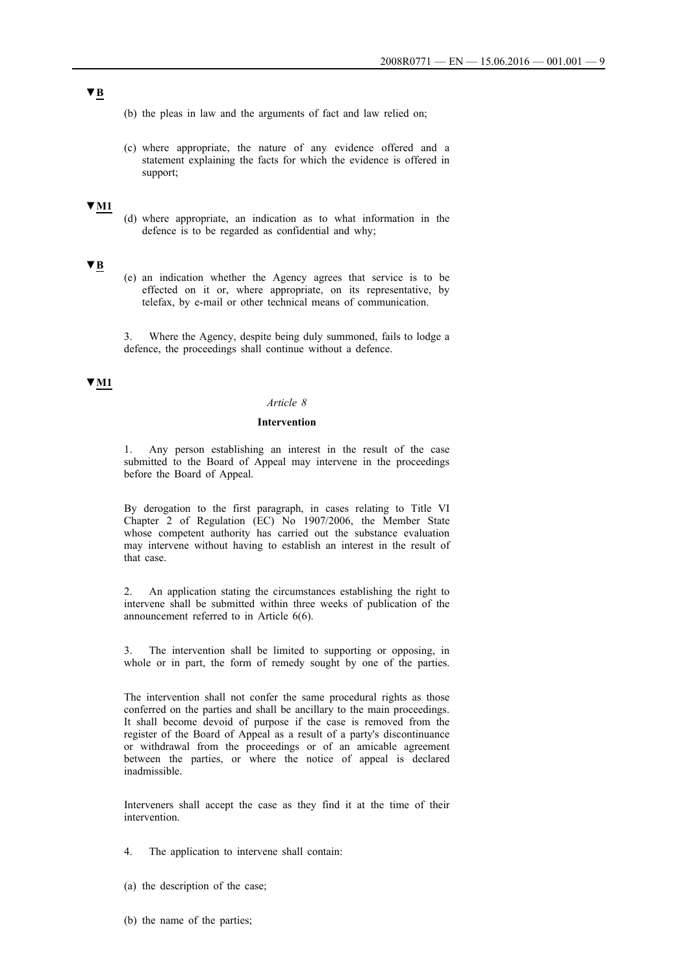**▼B**

(b) the pleas in law and the arguments of fact and law relied on;

(c) where appropriate, the nature of any evidence offered and a statement explaining the facts for which the evidence is offered in support;

### **▼M1**

(d) where appropriate, an indication as to what information in the defence is to be regarded as confidential and why;

# **▼B**

(e) an indication whether the Agency agrees that service is to be effected on it or, where appropriate, on its representative, by telefax, by e-mail or other technical means of communication.

3. Where the Agency, despite being duly summoned, fails to lodge a defence, the proceedings shall continue without a defence.

# **▼M1**

#### *Article 8*

## **Intervention**

1. Any person establishing an interest in the result of the case submitted to the Board of Appeal may intervene in the proceedings before the Board of Appeal.

By derogation to the first paragraph, in cases relating to Title VI Chapter 2 of Regulation (EC) No 1907/2006, the Member State whose competent authority has carried out the substance evaluation may intervene without having to establish an interest in the result of that case.

2. An application stating the circumstances establishing the right to intervene shall be submitted within three weeks of publication of the announcement referred to in Article 6(6).

3. The intervention shall be limited to supporting or opposing, in whole or in part, the form of remedy sought by one of the parties.

The intervention shall not confer the same procedural rights as those conferred on the parties and shall be ancillary to the main proceedings. It shall become devoid of purpose if the case is removed from the register of the Board of Appeal as a result of a party's discontinuance or withdrawal from the proceedings or of an amicable agreement between the parties, or where the notice of appeal is declared inadmissible.

Interveners shall accept the case as they find it at the time of their intervention.

4. The application to intervene shall contain:

- (a) the description of the case;
- (b) the name of the parties;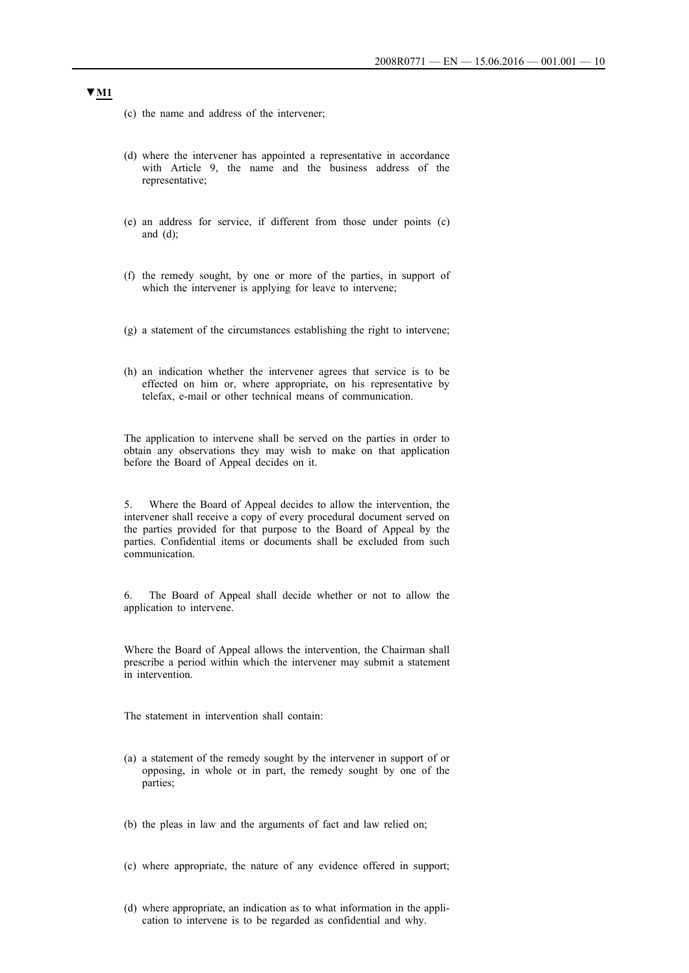- (c) the name and address of the intervener;
- (d) where the intervener has appointed a representative in accordance with Article 9, the name and the business address of the representative;
- (e) an address for service, if different from those under points (c) and (d);
- (f) the remedy sought, by one or more of the parties, in support of which the intervener is applying for leave to intervene;
- (g) a statement of the circumstances establishing the right to intervene;
- (h) an indication whether the intervener agrees that service is to be effected on him or, where appropriate, on his representative by telefax, e-mail or other technical means of communication.

The application to intervene shall be served on the parties in order to obtain any observations they may wish to make on that application before the Board of Appeal decides on it.

5. Where the Board of Appeal decides to allow the intervention, the intervener shall receive a copy of every procedural document served on the parties provided for that purpose to the Board of Appeal by the parties. Confidential items or documents shall be excluded from such communication.

6. The Board of Appeal shall decide whether or not to allow the application to intervene.

Where the Board of Appeal allows the intervention, the Chairman shall prescribe a period within which the intervener may submit a statement in intervention.

The statement in intervention shall contain:

- (a) a statement of the remedy sought by the intervener in support of or opposing, in whole or in part, the remedy sought by one of the parties;
- (b) the pleas in law and the arguments of fact and law relied on;
- (c) where appropriate, the nature of any evidence offered in support;
- (d) where appropriate, an indication as to what information in the application to intervene is to be regarded as confidential and why.

# **▼M1**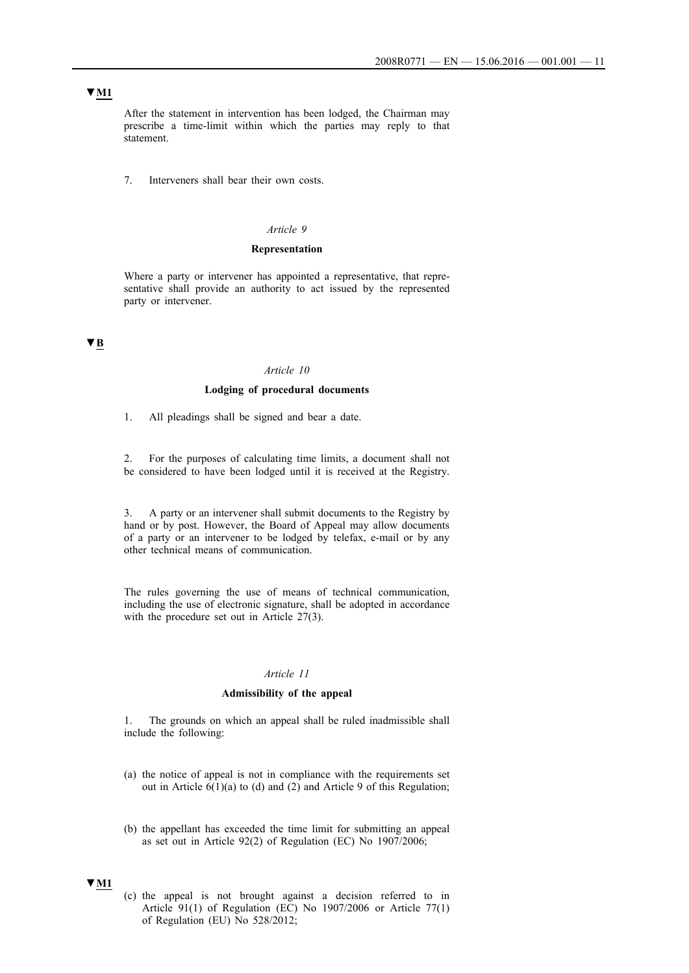# **▼M1**

After the statement in intervention has been lodged, the Chairman may prescribe a time-limit within which the parties may reply to that statement.

7. Interveners shall bear their own costs.

### *Article 9*

#### **Representation**

Where a party or intervener has appointed a representative, that representative shall provide an authority to act issued by the represented party or intervener.

# **▼B**

#### *Article 10*

### **Lodging of procedural documents**

1. All pleadings shall be signed and bear a date.

2. For the purposes of calculating time limits, a document shall not be considered to have been lodged until it is received at the Registry.

3. A party or an intervener shall submit documents to the Registry by hand or by post. However, the Board of Appeal may allow documents of a party or an intervener to be lodged by telefax, e-mail or by any other technical means of communication.

The rules governing the use of means of technical communication, including the use of electronic signature, shall be adopted in accordance with the procedure set out in Article 27(3).

#### *Article 11*

### **Admissibility of the appeal**

1. The grounds on which an appeal shall be ruled inadmissible shall include the following:

- (a) the notice of appeal is not in compliance with the requirements set out in Article 6(1)(a) to (d) and (2) and Article 9 of this Regulation;
- (b) the appellant has exceeded the time limit for submitting an appeal as set out in Article 92(2) of Regulation (EC) No 1907/2006;

### **▼M1**

(c) the appeal is not brought against a decision referred to in Article 91(1) of Regulation (EC) No 1907/2006 or Article 77(1) of Regulation (EU) No 528/2012;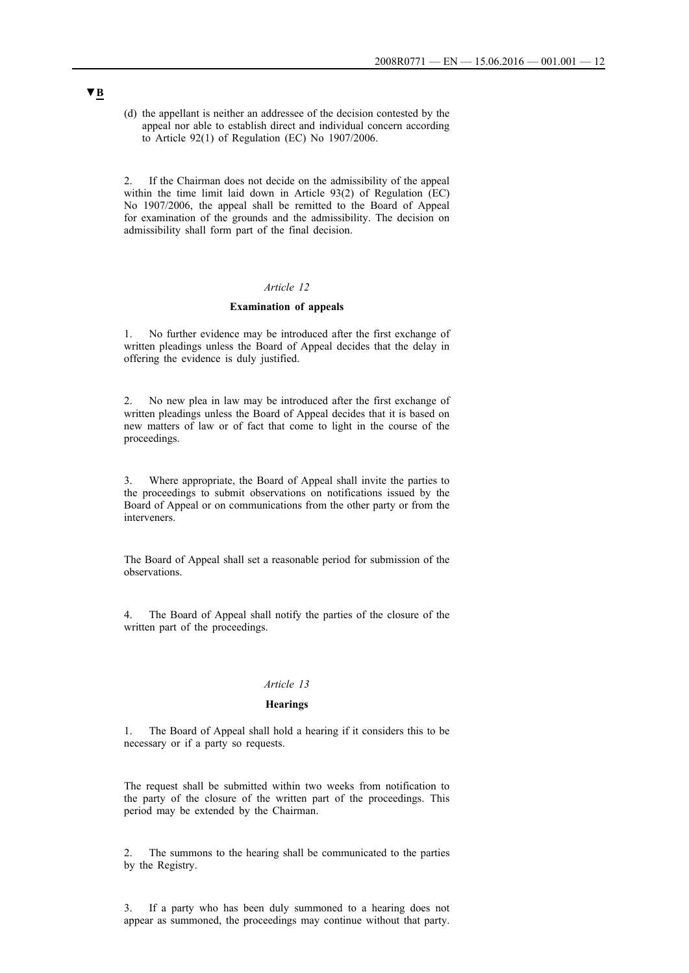(d) the appellant is neither an addressee of the decision contested by the appeal nor able to establish direct and individual concern according to Article 92(1) of Regulation (EC) No 1907/2006.

If the Chairman does not decide on the admissibility of the appeal within the time limit laid down in Article 93(2) of Regulation (EC) No 1907/2006, the appeal shall be remitted to the Board of Appeal for examination of the grounds and the admissibility. The decision on admissibility shall form part of the final decision.

# *Article 12*

### **Examination of appeals**

1. No further evidence may be introduced after the first exchange of written pleadings unless the Board of Appeal decides that the delay in offering the evidence is duly justified.

2. No new plea in law may be introduced after the first exchange of written pleadings unless the Board of Appeal decides that it is based on new matters of law or of fact that come to light in the course of the proceedings.

3. Where appropriate, the Board of Appeal shall invite the parties to the proceedings to submit observations on notifications issued by the Board of Appeal or on communications from the other party or from the interveners.

The Board of Appeal shall set a reasonable period for submission of the observations.

4. The Board of Appeal shall notify the parties of the closure of the written part of the proceedings.

#### *Article 13*

### **Hearings**

1. The Board of Appeal shall hold a hearing if it considers this to be necessary or if a party so requests.

The request shall be submitted within two weeks from notification to the party of the closure of the written part of the proceedings. This period may be extended by the Chairman.

2. The summons to the hearing shall be communicated to the parties by the Registry.

3. If a party who has been duly summoned to a hearing does not appear as summoned, the proceedings may continue without that party.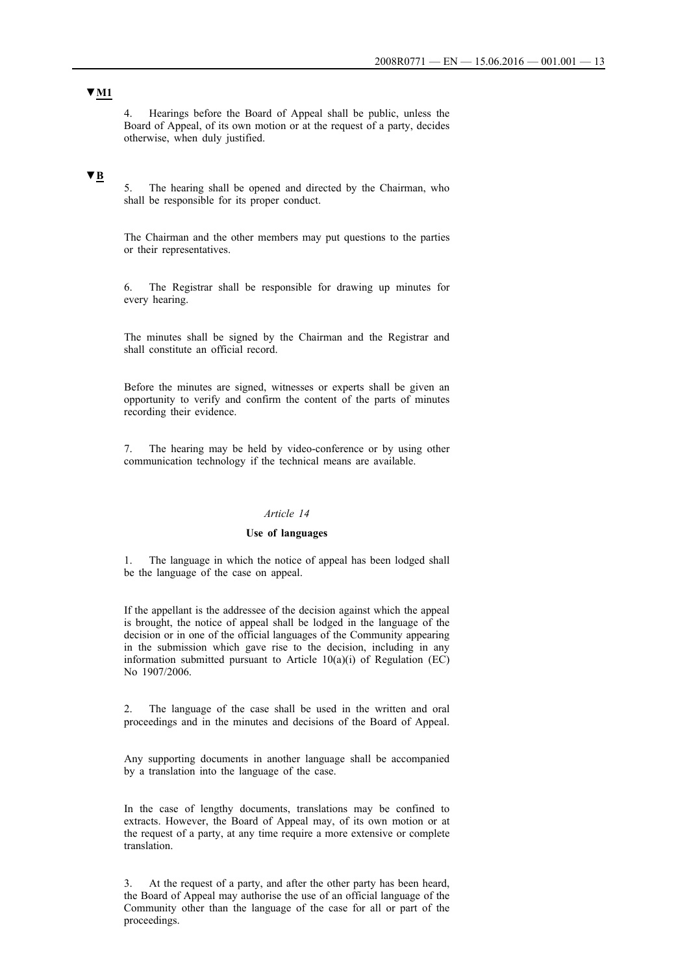4. Hearings before the Board of Appeal shall be public, unless the Board of Appeal, of its own motion or at the request of a party, decides otherwise, when duly justified.

# **▼B**

5. The hearing shall be opened and directed by the Chairman, who shall be responsible for its proper conduct.

The Chairman and the other members may put questions to the parties or their representatives.

6. The Registrar shall be responsible for drawing up minutes for every hearing.

The minutes shall be signed by the Chairman and the Registrar and shall constitute an official record.

Before the minutes are signed, witnesses or experts shall be given an opportunity to verify and confirm the content of the parts of minutes recording their evidence.

7. The hearing may be held by video-conference or by using other communication technology if the technical means are available.

### *Article 14*

#### **Use of languages**

1. The language in which the notice of appeal has been lodged shall be the language of the case on appeal.

If the appellant is the addressee of the decision against which the appeal is brought, the notice of appeal shall be lodged in the language of the decision or in one of the official languages of the Community appearing in the submission which gave rise to the decision, including in any information submitted pursuant to Article 10(a)(i) of Regulation (EC) No 1907/2006.

2. The language of the case shall be used in the written and oral proceedings and in the minutes and decisions of the Board of Appeal.

Any supporting documents in another language shall be accompanied by a translation into the language of the case.

In the case of lengthy documents, translations may be confined to extracts. However, the Board of Appeal may, of its own motion or at the request of a party, at any time require a more extensive or complete translation.

3. At the request of a party, and after the other party has been heard, the Board of Appeal may authorise the use of an official language of the Community other than the language of the case for all or part of the proceedings.

# **▼M1**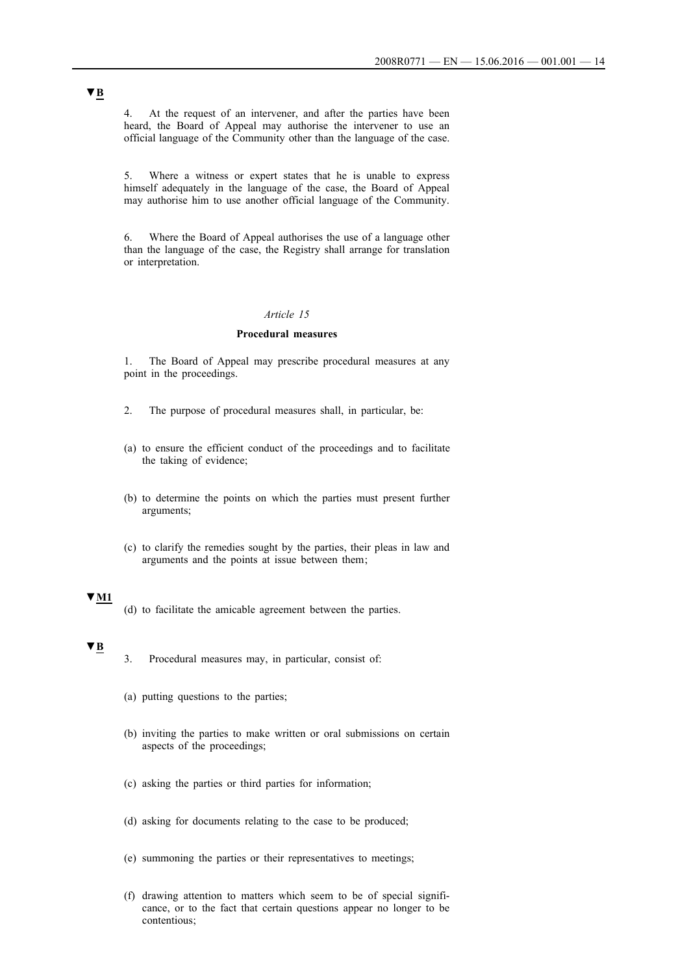4. At the request of an intervener, and after the parties have been heard, the Board of Appeal may authorise the intervener to use an official language of the Community other than the language of the case.

5. Where a witness or expert states that he is unable to express himself adequately in the language of the case, the Board of Appeal may authorise him to use another official language of the Community.

6. Where the Board of Appeal authorises the use of a language other than the language of the case, the Registry shall arrange for translation or interpretation.

### *Article 15*

# **Procedural measures**

1. The Board of Appeal may prescribe procedural measures at any point in the proceedings.

- 2. The purpose of procedural measures shall, in particular, be:
- (a) to ensure the efficient conduct of the proceedings and to facilitate the taking of evidence;
- (b) to determine the points on which the parties must present further arguments;
- (c) to clarify the remedies sought by the parties, their pleas in law and arguments and the points at issue between them ;

### **▼M1**

(d) to facilitate the amicable agreement between the parties.

# **▼B**

- 3. Procedural measures may, in particular, consist of:
- (a) putting questions to the parties;
- (b) inviting the parties to make written or oral submissions on certain aspects of the proceedings;
- (c) asking the parties or third parties for information;
- (d) asking for documents relating to the case to be produced;
- (e) summoning the parties or their representatives to meetings;
- (f) drawing attention to matters which seem to be of special significance, or to the fact that certain questions appear no longer to be contentious;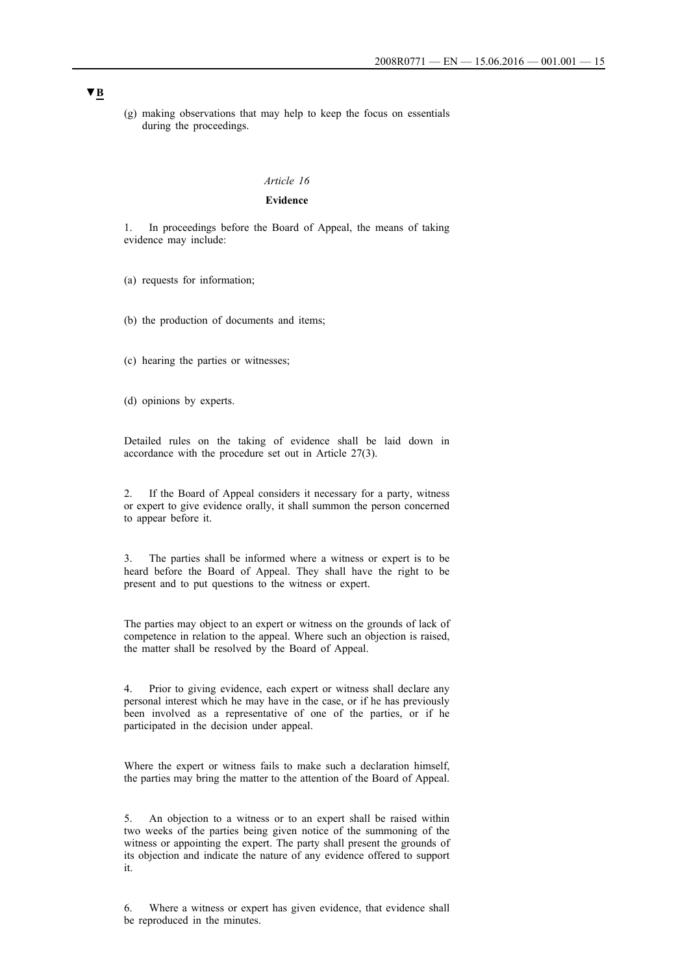(g) making observations that may help to keep the focus on essentials during the proceedings.

#### *Article 16*

### **Evidence**

1. In proceedings before the Board of Appeal, the means of taking evidence may include:

(a) requests for information;

(b) the production of documents and items;

(c) hearing the parties or witnesses;

(d) opinions by experts.

Detailed rules on the taking of evidence shall be laid down in accordance with the procedure set out in Article 27(3).

2. If the Board of Appeal considers it necessary for a party, witness or expert to give evidence orally, it shall summon the person concerned to appear before it.

3. The parties shall be informed where a witness or expert is to be heard before the Board of Appeal. They shall have the right to be present and to put questions to the witness or expert.

The parties may object to an expert or witness on the grounds of lack of competence in relation to the appeal. Where such an objection is raised, the matter shall be resolved by the Board of Appeal.

4. Prior to giving evidence, each expert or witness shall declare any personal interest which he may have in the case, or if he has previously been involved as a representative of one of the parties, or if he participated in the decision under appeal.

Where the expert or witness fails to make such a declaration himself, the parties may bring the matter to the attention of the Board of Appeal.

5. An objection to a witness or to an expert shall be raised within two weeks of the parties being given notice of the summoning of the witness or appointing the expert. The party shall present the grounds of its objection and indicate the nature of any evidence offered to support it.

6. Where a witness or expert has given evidence, that evidence shall be reproduced in the minutes.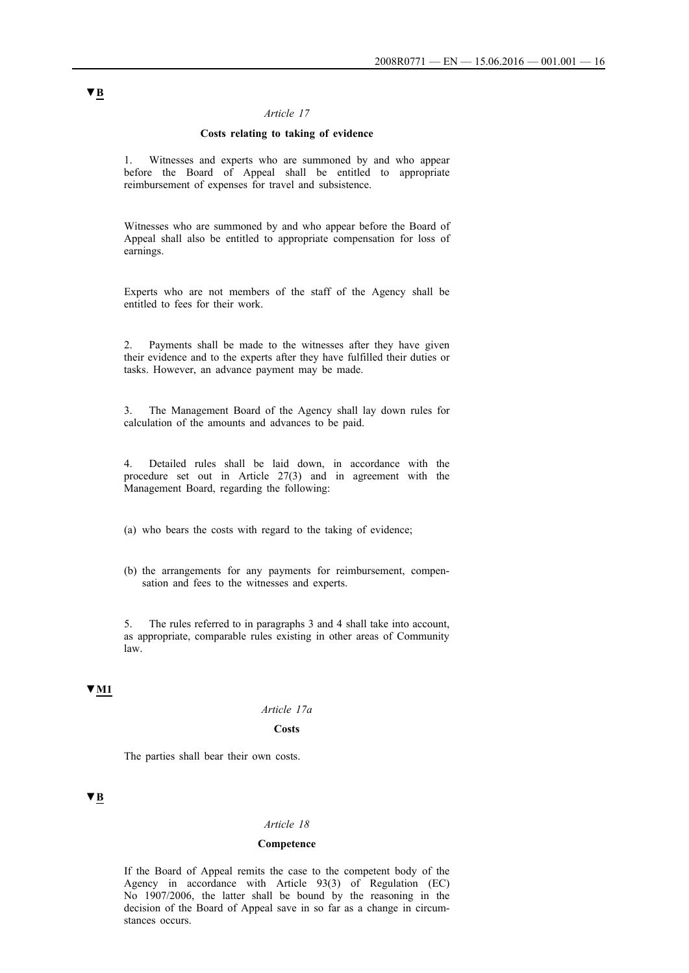## **Costs relating to taking of evidence**

1. Witnesses and experts who are summoned by and who appear before the Board of Appeal shall be entitled to appropriate reimbursement of expenses for travel and subsistence.

Witnesses who are summoned by and who appear before the Board of Appeal shall also be entitled to appropriate compensation for loss of earnings.

Experts who are not members of the staff of the Agency shall be entitled to fees for their work.

2. Payments shall be made to the witnesses after they have given their evidence and to the experts after they have fulfilled their duties or tasks. However, an advance payment may be made.

3. The Management Board of the Agency shall lay down rules for calculation of the amounts and advances to be paid.

4. Detailed rules shall be laid down, in accordance with the procedure set out in Article 27(3) and in agreement with the Management Board, regarding the following:

(a) who bears the costs with regard to the taking of evidence;

(b) the arrangements for any payments for reimbursement, compensation and fees to the witnesses and experts.

5. The rules referred to in paragraphs 3 and 4 shall take into account, as appropriate, comparable rules existing in other areas of Community law.

# **▼M1**

#### *Article 17a*

### **Costs**

The parties shall bear their own costs.

# **▼B**

#### *Article 18*

## **Competence**

If the Board of Appeal remits the case to the competent body of the Agency in accordance with Article 93(3) of Regulation (EC) No 1907/2006, the latter shall be bound by the reasoning in the decision of the Board of Appeal save in so far as a change in circumstances occurs.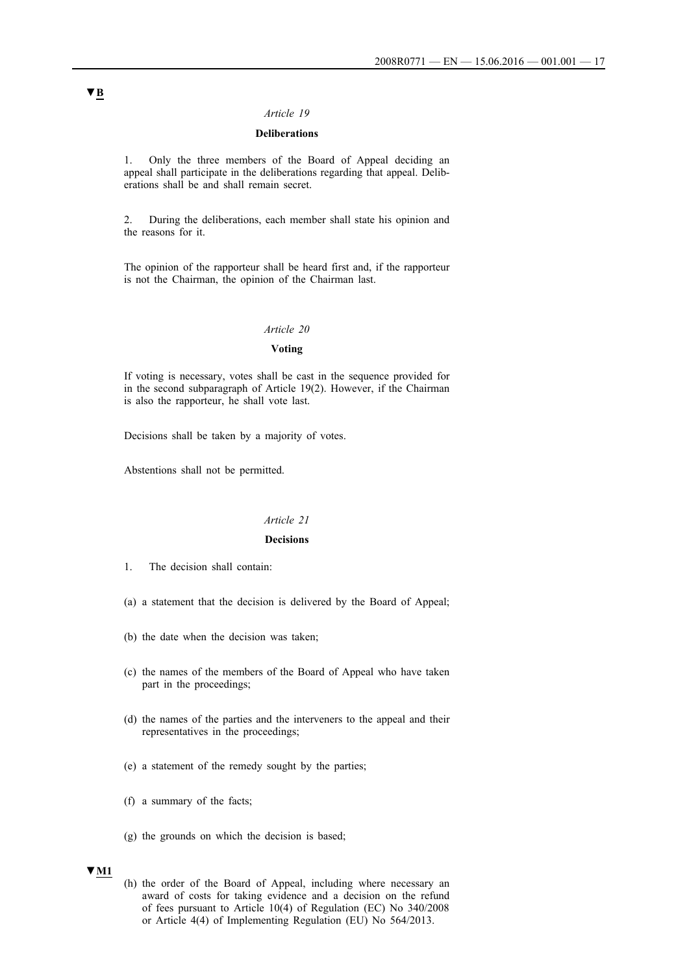# **Deliberations**

1. Only the three members of the Board of Appeal deciding an appeal shall participate in the deliberations regarding that appeal. Deliberations shall be and shall remain secret.

2. During the deliberations, each member shall state his opinion and the reasons for it.

The opinion of the rapporteur shall be heard first and, if the rapporteur is not the Chairman, the opinion of the Chairman last.

# *Article 20*

#### **Voting**

If voting is necessary, votes shall be cast in the sequence provided for in the second subparagraph of Article 19(2). However, if the Chairman is also the rapporteur, he shall vote last.

Decisions shall be taken by a majority of votes.

Abstentions shall not be permitted.

### *Article 21*

## **Decisions**

- 1. The decision shall contain:
- (a) a statement that the decision is delivered by the Board of Appeal;
- (b) the date when the decision was taken;
- (c) the names of the members of the Board of Appeal who have taken part in the proceedings;
- (d) the names of the parties and the interveners to the appeal and their representatives in the proceedings;
- (e) a statement of the remedy sought by the parties;
- (f) a summary of the facts;
- (g) the grounds on which the decision is based;

# **▼M1**

(h) the order of the Board of Appeal, including where necessary an award of costs for taking evidence and a decision on the refund of fees pursuant to Article 10(4) of Regulation (EC) No 340/2008 or Article 4(4) of Implementing Regulation (EU) No 564/2013.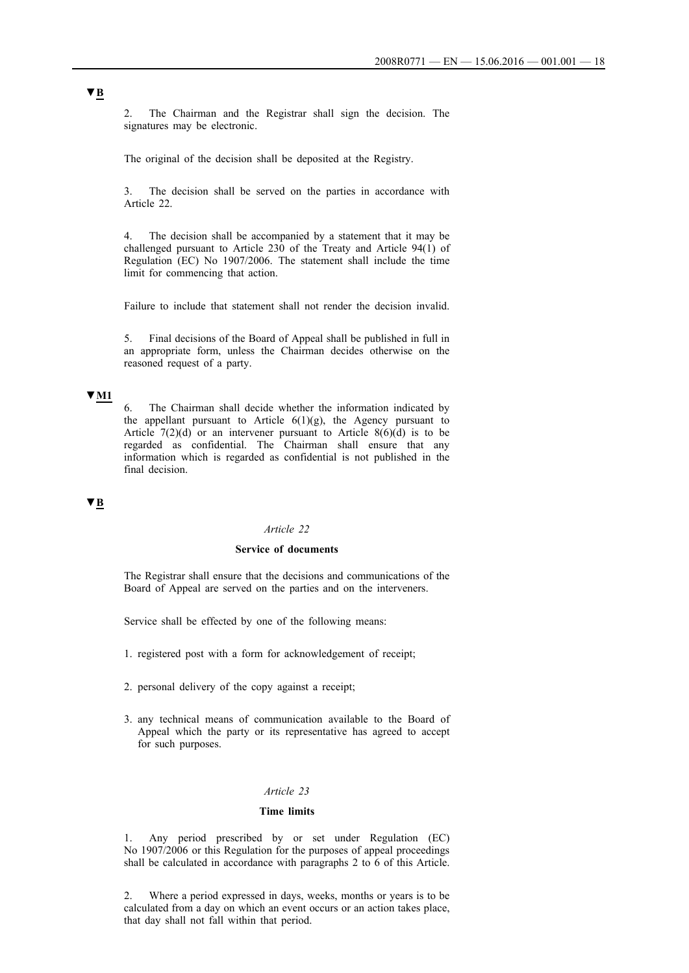2. The Chairman and the Registrar shall sign the decision. The signatures may be electronic.

The original of the decision shall be deposited at the Registry.

3. The decision shall be served on the parties in accordance with Article 22.

4. The decision shall be accompanied by a statement that it may be challenged pursuant to Article 230 of the Treaty and Article 94(1) of Regulation (EC) No 1907/2006. The statement shall include the time limit for commencing that action.

Failure to include that statement shall not render the decision invalid.

5. Final decisions of the Board of Appeal shall be published in full in an appropriate form, unless the Chairman decides otherwise on the reasoned request of a party.

### **▼M1**

6. The Chairman shall decide whether the information indicated by the appellant pursuant to Article  $6(1)(g)$ , the Agency pursuant to Article  $7(2)(d)$  or an intervener pursuant to Article  $8(6)(d)$  is to be regarded as confidential. The Chairman shall ensure that any information which is regarded as confidential is not published in the final decision.

# **▼B**

## *Article 22*

# **Service of documents**

The Registrar shall ensure that the decisions and communications of the Board of Appeal are served on the parties and on the interveners.

Service shall be effected by one of the following means:

- 1. registered post with a form for acknowledgement of receipt;
- 2. personal delivery of the copy against a receipt;
- 3. any technical means of communication available to the Board of Appeal which the party or its representative has agreed to accept for such purposes.

# *Article 23*

#### **Time limits**

1. Any period prescribed by or set under Regulation (EC) No 1907/2006 or this Regulation for the purposes of appeal proceedings shall be calculated in accordance with paragraphs 2 to 6 of this Article.

2. Where a period expressed in days, weeks, months or years is to be calculated from a day on which an event occurs or an action takes place, that day shall not fall within that period.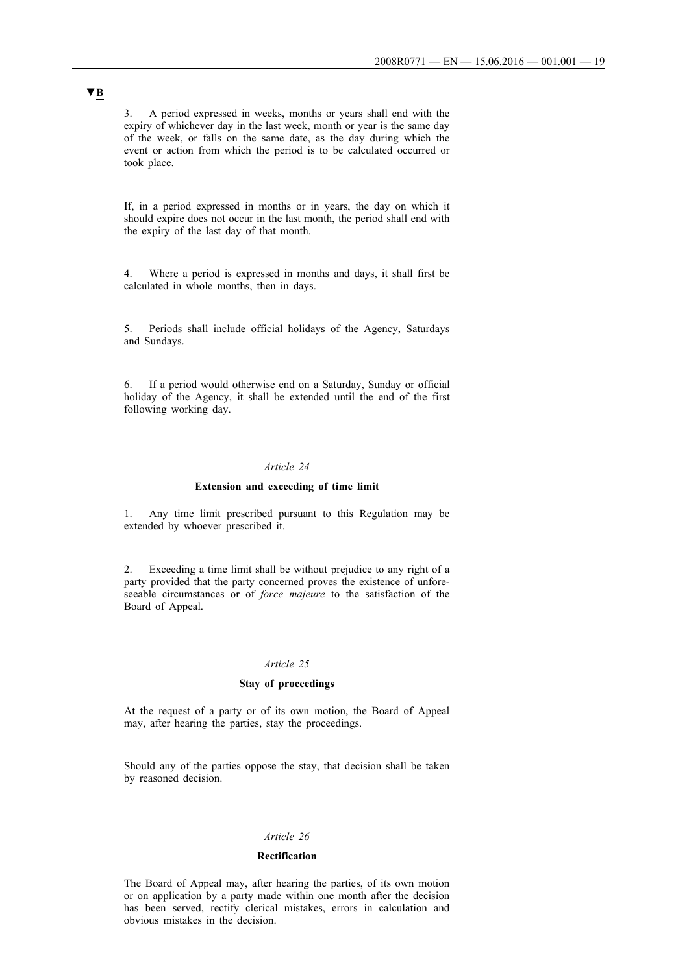3. A period expressed in weeks, months or years shall end with the expiry of whichever day in the last week, month or year is the same day of the week, or falls on the same date, as the day during which the event or action from which the period is to be calculated occurred or took place.

If, in a period expressed in months or in years, the day on which it should expire does not occur in the last month, the period shall end with the expiry of the last day of that month.

4. Where a period is expressed in months and days, it shall first be calculated in whole months, then in days.

5. Periods shall include official holidays of the Agency, Saturdays and Sundays.

6. If a period would otherwise end on a Saturday, Sunday or official holiday of the Agency, it shall be extended until the end of the first following working day.

#### *Article 24*

### **Extension and exceeding of time limit**

1. Any time limit prescribed pursuant to this Regulation may be extended by whoever prescribed it.

2. Exceeding a time limit shall be without prejudice to any right of a party provided that the party concerned proves the existence of unforeseeable circumstances or of *force majeure* to the satisfaction of the Board of Appeal.

#### *Article 25*

#### **Stay of proceedings**

At the request of a party or of its own motion, the Board of Appeal may, after hearing the parties, stay the proceedings.

Should any of the parties oppose the stay, that decision shall be taken by reasoned decision.

#### *Article 26*

#### **Rectification**

The Board of Appeal may, after hearing the parties, of its own motion or on application by a party made within one month after the decision has been served, rectify clerical mistakes, errors in calculation and obvious mistakes in the decision.